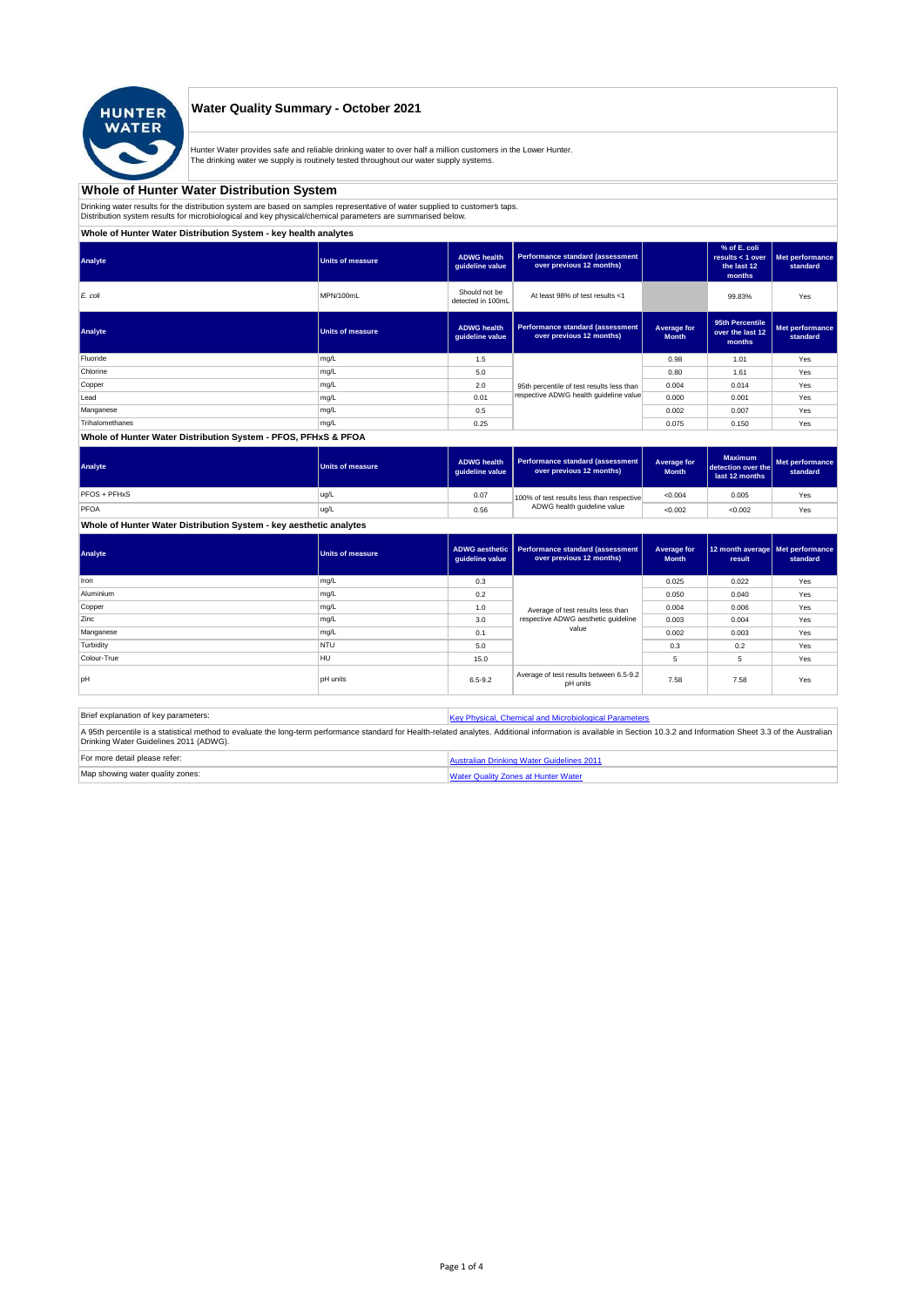

## **Water Quality Summary - October 2021**

Hunter Water provides safe and reliable drinking water to over half a million customers in the Lower Hunter. The drinking water we supply is routinely tested throughout our water supply systems.

# **Whole of Hunter Water Distribution System**

Drinking water results for the distribution system are based on samples representative of water supplied to customer' taps.<br>Distribution system results for microbiological and key physical/chemical parameters are summarise

## **Whole of Hunter Water Distribution System - key health analytes**

| Analyte         | <b>Units of measure</b> | <b>ADWG</b> health<br>guideline value | Performance standard (assessment<br>over previous 12 months)        |                             | % of E. coli<br>results $<$ 1 over<br>the last 12<br>months | Met performance<br>standard |
|-----------------|-------------------------|---------------------------------------|---------------------------------------------------------------------|-----------------------------|-------------------------------------------------------------|-----------------------------|
| E. coli         | MPN/100mL               | Should not be<br>detected in 100mL    | At least 98% of test results <1                                     |                             | 99.83%                                                      | Yes                         |
| Analyte         | Units of measure        | <b>ADWG</b> health<br>guideline value | <b>Performance standard (assessment</b><br>over previous 12 months) | Average for<br><b>Month</b> | 95th Percentile<br>over the last 12<br>months               | Met performance<br>standard |
| Fluoride        | mg/L                    | 1.5                                   |                                                                     | 0.98                        | 1.01                                                        | Yes                         |
| Chlorine        | mg/L                    | 5.0                                   |                                                                     | 0.80                        | 1.61                                                        | Yes                         |
| Copper          | mg/L                    | 2.0                                   | 95th percentile of test results less than                           | 0.004                       | 0.014                                                       | Yes                         |
| Lead            | mg/L                    | 0.01                                  | respective ADWG health guideline value                              | 0.000                       | 0.001                                                       | Yes                         |
| Manganese       | mg/L                    | 0.5                                   |                                                                     | 0.002                       | 0.007                                                       | Yes                         |
| Trihalomethanes | mg/L                    | 0.25                                  |                                                                     | 0.075                       | 0.150                                                       | Yes                         |
|                 |                         |                                       |                                                                     |                             |                                                             |                             |

## **Whole of Hunter Water Distribution System - PFOS, PFHxS & PFOA**

| Analyte      | <b>Units of measure</b> | <b>ADWG health</b><br>quideline value | Performance standard (assessment<br>over previous 12 months) | Average for<br><b>Month</b> | <b>Maximum</b><br>detection over the<br>last 12 months | Met performance<br>standard |
|--------------|-------------------------|---------------------------------------|--------------------------------------------------------------|-----------------------------|--------------------------------------------------------|-----------------------------|
| PFOS + PFHxS | ug/L                    | 0.07                                  | 100% of test results less than respective                    | < 0.004                     | 0.005                                                  | Yes                         |
| PFOA         | ug/L                    | 0.56                                  | ADWG health guideline value                                  | < 0.002                     | < 0.002                                                | Yes                         |

## **Whole of Hunter Water Distribution System - key aesthetic analytes**

| Analyte     | <b>Units of measure</b> | guideline value | ADWG aesthetic   Performance standard (assessment<br>over previous 12 months) | Average for<br><b>Month</b> | 12 month average   Met performance<br>result | standard |
|-------------|-------------------------|-----------------|-------------------------------------------------------------------------------|-----------------------------|----------------------------------------------|----------|
| Iron        | mg/L                    | 0.3             |                                                                               | 0.025                       | 0.022                                        | Yes      |
| Aluminium   | mg/L                    | 0.2             |                                                                               | 0.050                       | 0.040                                        | Yes      |
| Copper      | mg/L                    | 1.0             | Average of test results less than<br>respective ADWG aesthetic quideline      | 0.004                       | 0.006                                        | Yes      |
| Zinc        | mg/L                    | 3.0             |                                                                               | 0.003                       | 0.004                                        | Yes      |
| Manganese   | mg/L                    | 0.1             | value                                                                         | 0.002                       | 0.003                                        | Yes      |
| Turbidity   | <b>NTU</b>              | 5.0             |                                                                               | 0.3                         | 0.2                                          | Yes      |
| Colour-True | <b>HU</b>               | 15.0            |                                                                               | 5                           | 5                                            | Yes      |
| pH          | <b>pH</b> units         | $6.5 - 9.2$     | Average of test results between 6.5-9.2<br>pH units                           | 7.58                        | 7.58                                         | Yes      |

| Brief explanation of key parameters:   | Key Physical, Chemical and Microbiological Parameters                                                                                                                                                                   |
|----------------------------------------|-------------------------------------------------------------------------------------------------------------------------------------------------------------------------------------------------------------------------|
| Drinking Water Guidelines 2011 (ADWG). | A 95th percentile is a statistical method to evaluate the long-term performance standard for Health-related analytes. Additional information is available in Section 10.3.2 and Information Sheet 3.3 of the Australian |
| For more detail please refer:          | Australian Drinking Water Guidelines 2011                                                                                                                                                                               |
| Map showing water quality zones:       | <b>Water Quality Zones at Hunter Water</b>                                                                                                                                                                              |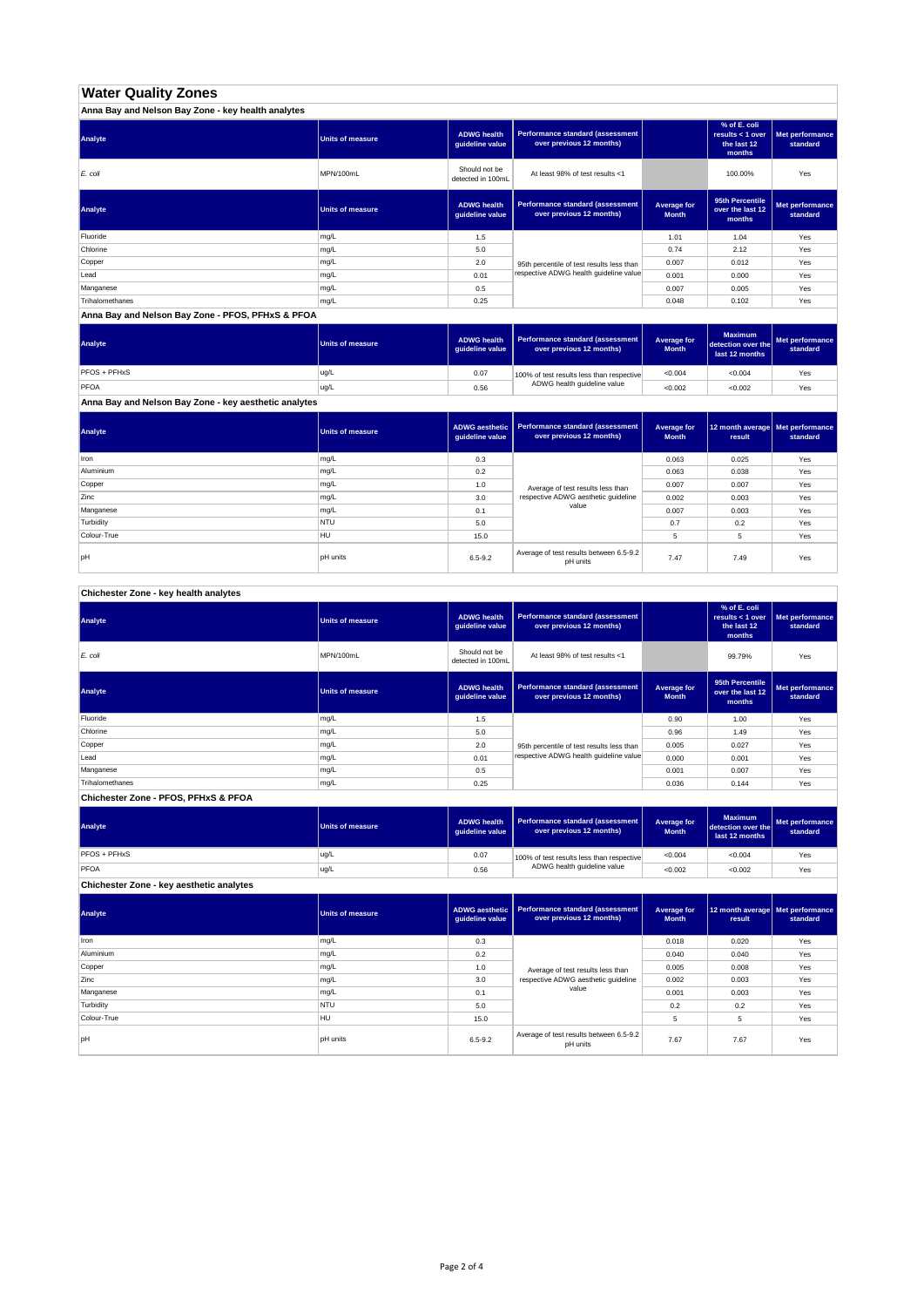## **Water Quality Zones**

| Anna Bay and Nelson Bay Zone - key health analytes |                  |                                       |                                                                     |                             |                                                           |                             |
|----------------------------------------------------|------------------|---------------------------------------|---------------------------------------------------------------------|-----------------------------|-----------------------------------------------------------|-----------------------------|
| Analyte                                            | Units of measure | <b>ADWG health</b><br>guideline value | <b>Performance standard (assessment</b><br>over previous 12 months) |                             | % of E. coli<br>results < 1 over<br>the last 12<br>months | Met performance<br>standard |
| E. coli                                            | MPN/100mL        | Should not be<br>detected in 100mL    | At least 98% of test results <1                                     |                             | 100.00%                                                   | Yes                         |
| Analyte                                            | Units of measure | <b>ADWG health</b><br>guideline value | <b>Performance standard (assessment</b><br>over previous 12 months) | Average for<br><b>Month</b> | 95th Percentile<br>over the last 12<br>months             | Met performance<br>standard |
| Fluoride                                           | mg/L             | 1.5                                   |                                                                     | 1.01                        | 1.04                                                      | Yes                         |
| Chlorine                                           | mg/L             | 5.0                                   |                                                                     | 0.74                        | 2.12                                                      | Yes                         |
| Copper                                             | mg/L             | 2.0                                   | 95th percentile of test results less than                           | 0.007                       | 0.012                                                     | Yes                         |
| Lead                                               | mg/L             | 0.01                                  | respective ADWG health guideline value                              | 0.001                       | 0.000                                                     | Yes                         |
| Manganese                                          | mg/L             | 0.5                                   |                                                                     | 0.007                       | 0.005                                                     | Yes                         |
| Trihalomethanes                                    | mg/L             | 0.25                                  |                                                                     | 0.048                       | 0.102                                                     | Yes                         |

**Anna Bay and Nelson Bay Zone - PFOS, PFHxS & PFOA**

| Analyte      | Units of measure | <b>ADWG health</b><br>quideline value | Performance standard (assessment<br>over previous 12 months) | <b>Average for</b><br><b>Month</b> | <b>Maximum</b><br>detection over the<br>last 12 months | Met performance<br>standard |
|--------------|------------------|---------------------------------------|--------------------------------------------------------------|------------------------------------|--------------------------------------------------------|-----------------------------|
| PFOS + PFHxS | ug/L             | 0.07                                  | 100% of test results less than respective                    | < 0.004                            | < 0.004                                                | Yes                         |
| PFOA         | ug/L             | 0.56                                  | ADWG health guideline value                                  | < 0.002                            | < 0.002                                                | Yes                         |

**Anna Bay and Nelson Bay Zone - key aesthetic analytes**

| Analyte     | Units of measure | ADWG aesthetic  <br>guideline value | Performance standard (assessment<br>over previous 12 months) | Average for<br><b>Month</b> | 12 month average   Met performance<br>result | standard |
|-------------|------------------|-------------------------------------|--------------------------------------------------------------|-----------------------------|----------------------------------------------|----------|
| Iron        | mg/L             | 0.3                                 |                                                              | 0.063                       | 0.025                                        | Yes      |
| Aluminium   | mg/L             | 0.2                                 |                                                              | 0.063                       | 0.038                                        | Yes      |
| Copper      | mg/L             | 1.0                                 | Average of test results less than                            | 0.007                       | 0.007                                        | Yes      |
| Zinc        | mg/L             | 3.0                                 | respective ADWG aesthetic quideline                          | 0.002                       | 0.003                                        | Yes      |
| Manganese   | mg/L             | 0.1                                 | value                                                        | 0.007                       | 0.003                                        | Yes      |
| Turbidity   | <b>NTU</b>       | 5.0                                 |                                                              | 0.7                         | 0.2                                          | Yes      |
| Colour-True | HU               | 15.0                                |                                                              |                             | 5                                            | Yes      |
| pH          | <b>pH</b> units  | $6.5 - 9.2$                         | Average of test results between 6.5-9.2<br>pH units          | 7.47                        | 7.49                                         | Yes      |

**Chichester Zone - key health analytes**

| Analyte         | <b>Units of measure</b> | <b>ADWG health</b><br>guideline value | Performance standard (assessment<br>over previous 12 months) |                             | % of E. coli<br>results $<$ 1 over<br>the last 12<br>months | Met performance<br>standard |
|-----------------|-------------------------|---------------------------------------|--------------------------------------------------------------|-----------------------------|-------------------------------------------------------------|-----------------------------|
| E. coli         | MPN/100mL               | Should not be<br>detected in 100mL    | At least 98% of test results <1                              |                             | 99.79%                                                      | Yes                         |
| Analyte         | <b>Units of measure</b> | <b>ADWG health</b><br>guideline value | Performance standard (assessment<br>over previous 12 months) | Average for<br><b>Month</b> | 95th Percentile<br>over the last 12<br>months               | Met performance<br>standard |
| Fluoride        | mg/L                    | 1.5                                   |                                                              | 0.90                        | 1.00                                                        | Yes                         |
| Chlorine        | mg/L                    | 5.0                                   |                                                              | 0.96                        | 1.49                                                        | Yes                         |
| Copper          | mg/L                    | 2.0                                   | 95th percentile of test results less than                    | 0.005                       | 0.027                                                       | Yes                         |
| Lead            | mg/L                    | 0.01                                  | respective ADWG health quideline value                       | 0.000                       | 0.001                                                       | Yes                         |
| Manganese       | mg/L                    | 0.5                                   |                                                              | 0.001                       | 0.007                                                       | Yes                         |
| Trihalomethanes | mg/L                    | 0.25                                  |                                                              | 0.036                       | 0.144                                                       | Yes                         |

**Chichester Zone - PFOS, PFHxS & PFOA**

| Analyte      | Units of measure | <b>ADWG health</b><br>quideline value | Performance standard (assessment<br>over previous 12 months) | Average for<br><b>Month</b> | <b>Maximum</b><br>detection over the<br>last 12 months | Met performance<br>standard |
|--------------|------------------|---------------------------------------|--------------------------------------------------------------|-----------------------------|--------------------------------------------------------|-----------------------------|
| PFOS + PFHxS | ug/L             | 0.07                                  | 100% of test results less than respective                    | < 0.004                     | < 0.004                                                | Yes                         |
| PFOA         | ug/L             | 0.56                                  | ADWG health guideline value                                  | < 0.002                     | < 0.002                                                | Yes                         |

**Chichester Zone - key aesthetic analytes**

| Analyte     | <b>Units of measure</b> | ADWG aesthetic<br>guideline value | Performance standard (assessment<br>over previous 12 months) | Average for<br><b>Month</b> | 12 month average Met performance<br>result | standard |
|-------------|-------------------------|-----------------------------------|--------------------------------------------------------------|-----------------------------|--------------------------------------------|----------|
| Iron        | mg/L                    | 0.3                               |                                                              | 0.018                       | 0.020                                      | Yes      |
| Aluminium   | mg/L                    | 0.2                               |                                                              | 0.040                       | 0.040                                      | Yes      |
| Copper      | mg/L                    | 1.0                               | Average of test results less than                            | 0.005                       | 0.008                                      | Yes      |
| Zinc        | mg/L                    | 3.0                               | respective ADWG aesthetic quideline                          | 0.002                       | 0.003                                      | Yes      |
| Manganese   | mg/L                    | 0.1                               | value                                                        | 0.001                       | 0.003                                      | Yes      |
| Turbidity   | <b>NTU</b>              | 5.0                               |                                                              | 0.2                         | 0.2                                        | Yes      |
| Colour-True | <b>HU</b>               | 15.0                              |                                                              | 5                           | 5                                          | Yes      |
| pH          | <b>pH</b> units         | $6.5 - 9.2$                       | Average of test results between 6.5-9.2<br>pH units          | 7.67                        | 7.67                                       | Yes      |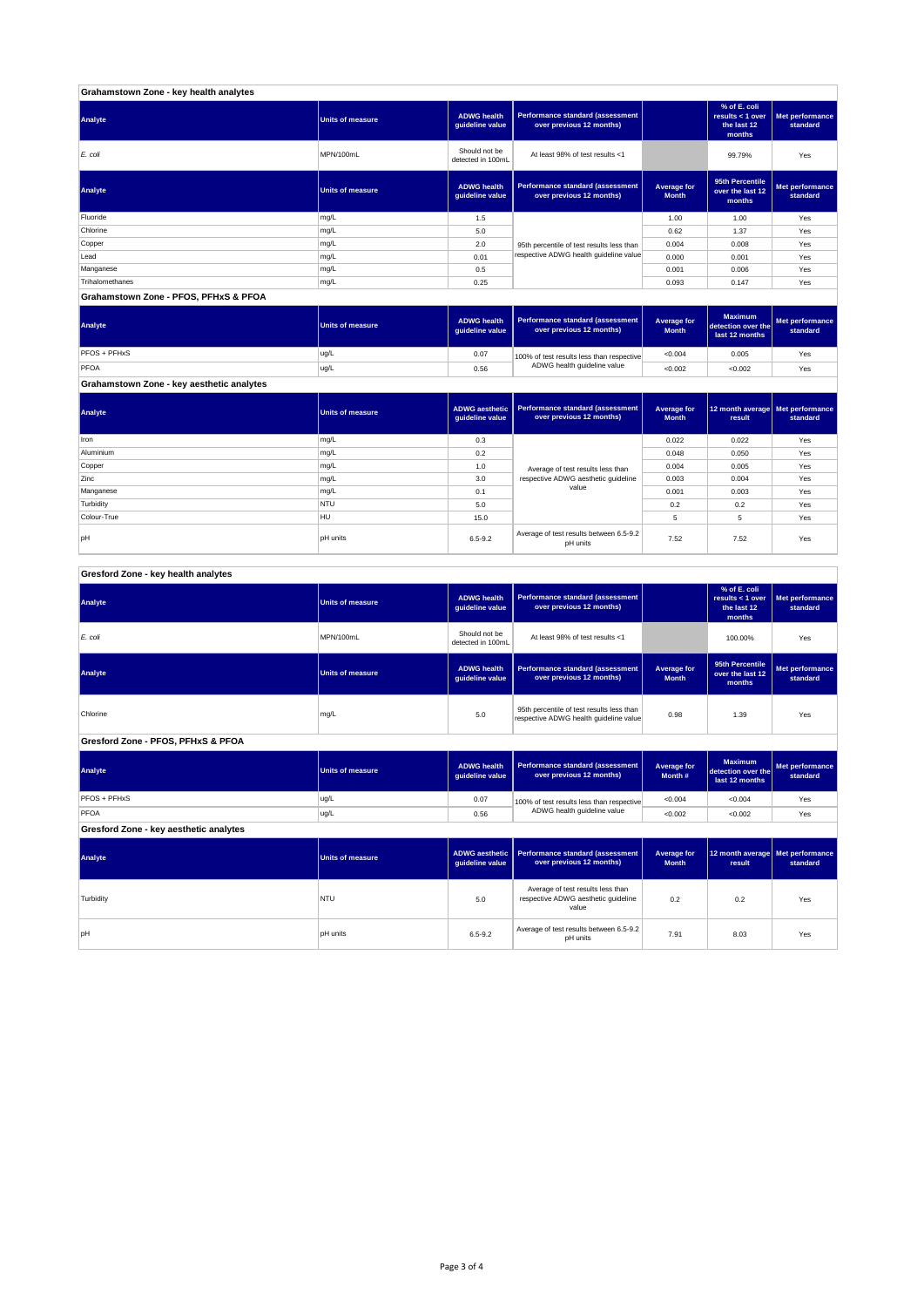| Grahamstown Zone - key health analytes |                         |                                       |                                                              |                             |                                                             |                             |
|----------------------------------------|-------------------------|---------------------------------------|--------------------------------------------------------------|-----------------------------|-------------------------------------------------------------|-----------------------------|
| Analyte                                | Units of measure        | <b>ADWG</b> health<br>guideline value | Performance standard (assessment<br>over previous 12 months) |                             | % of E. coli<br>results $<$ 1 over<br>the last 12<br>months | Met performance<br>standard |
| E. coli                                | MPN/100mL               | Should not be<br>detected in 100mL    | At least 98% of test results <1                              |                             | 99.79%                                                      | Yes                         |
| Analyte                                | <b>Units of measure</b> | <b>ADWG</b> health<br>quideline value | Performance standard (assessment<br>over previous 12 months) | Average for<br><b>Month</b> | 95th Percentile<br>over the last 12<br>months               | Met performance<br>standard |
| Fluoride                               | mg/L                    | 1.5                                   |                                                              | 1.00                        | 1.00                                                        | Yes                         |
| Chlorine                               | mg/L                    | 5.0                                   |                                                              | 0.62                        | 1.37                                                        | Yes                         |
| Copper                                 | mg/L                    | 2.0                                   | 95th percentile of test results less than                    | 0.004                       | 0.008                                                       | Yes                         |
| Lead                                   | mg/L                    | 0.01                                  | respective ADWG health guideline value                       | 0.000                       | 0.001                                                       | Yes                         |
| Manganese                              | mg/L                    | 0.5                                   |                                                              | 0.001                       | 0.006                                                       | Yes                         |
| Trihalomethanes                        | mg/L                    | 0.25                                  |                                                              | 0.093                       | 0.147                                                       | Yes                         |
| Grahamstown Zone - PFOS, PFHxS & PFOA  |                         |                                       |                                                              |                             |                                                             |                             |

#### **ADWG health guideline value Average for Month Maximum detection over the last 12 months Met performance standard** 0.07 100% of test results less than respective  $\sim 0.004$  0.005  $\sim$  Yes 0.56 <0.002 <0.002 Yes PFOS + PFHxS ug/L PFOA ug/L 100% of test results less than respective ADWG health guideline value **Analyte Performance standard (assessment <b>Performance standard (assessment Performance standard (assessment Performance standard (assessment Performance standard (assessment**

**Grahamstown Zone - key aesthetic analytes**

| Analyte     | <b>Units of measure</b> | quideline value | ADWG aesthetic   Performance standard (assessment  <br>over previous 12 months) | Average for<br><b>Month</b> | 12 month average   Met performance<br>result | standard |
|-------------|-------------------------|-----------------|---------------------------------------------------------------------------------|-----------------------------|----------------------------------------------|----------|
| Iron        | mg/L                    | 0.3             |                                                                                 | 0.022                       | 0.022                                        | Yes      |
| Aluminium   | mg/L                    | 0.2             |                                                                                 | 0.048                       | 0.050                                        | Yes      |
| Copper      | mg/L                    | 1.0             | Average of test results less than                                               | 0.004                       | 0.005                                        | Yes      |
| Zinc        | mg/L                    | 3.0             | respective ADWG aesthetic quideline                                             | 0.003                       | 0.004                                        | Yes      |
| Manganese   | mg/L                    | 0.1             | value                                                                           | 0.001                       | 0.003                                        | Yes      |
| Turbidity   | <b>NTU</b>              | 5.0             |                                                                                 | 0.2                         | 0.2                                          | Yes      |
| Colour-True | HU                      | 15.0            |                                                                                 | 5                           | 5                                            | Yes      |
| pH          | <b>pH</b> units         | $6.5 - 9.2$     | Average of test results between 6.5-9.2<br>pH units                             | 7.52                        | 7.52                                         | Yes      |

#### **ADWG health guideline value % of E. coli results < 1 over the last 12 months Met performance standard** Should not be<br>detected in 100ml detected in 100mL 100.00% Yes *E. coli* MPN/100mL At least 98% of test results <1 **ADWG health guideline value Average for Month 95th Percentile over the last 12 months Met performance standard** mg/L 95.0 percentile of test results less than percentile of test respective ADWG health guideline value of the metalline of the metalline value of the metalline value of the metalline value of the metalline value of the m **ADWG health guideline value Average for Month # Maximum detection over the last 12 months Met performance standard** 0.07 100% of test results less than respective  $\sim 0.004$   $\sim 0.004$  Yes 0.56 <0.002 <0.002 Yes **ADWG aesthetic guideline value Average for Month 12 month average result Met performance standard** 5.0 0.2 0.2 Yes Average of test results less than respective ADWG aesthetic guideline pH units 6.5-9.2 Average of test results between 6.5-9.2 7.91 8.03 Yes<br>PH units 6.5-9.2 Average of the pH units 7.91 8.03 Yes **Gresford Zone - key aesthetic analytes Analyte Performance standard (assessment Performance standard (assessment Performance standard (assessment Performance standard (assessment performance standard (assessment**) **Turbidity** NTU value **PFOS + PFHxS** ug/L PFOA ug/L 100% of test results less than respective ADWG health guideline value **Gresford Zone - PFOS, PFHxS & PFOA Analyte Performance standard (assessment <b>Performance standard (assessment Performance standard (assessment Performance standard (assessment performance standard (assessment Analyte Performance standard (assessment <b>Performance standard (assessment Performance standard (assessment Performance standard (assessment Performance standard (assessment Gresford Zone - key health analytes Analyte Performance standard (assessment Performance standard (assessment Performance standard (assessment Performance standard (assessment performance standard (assessment**